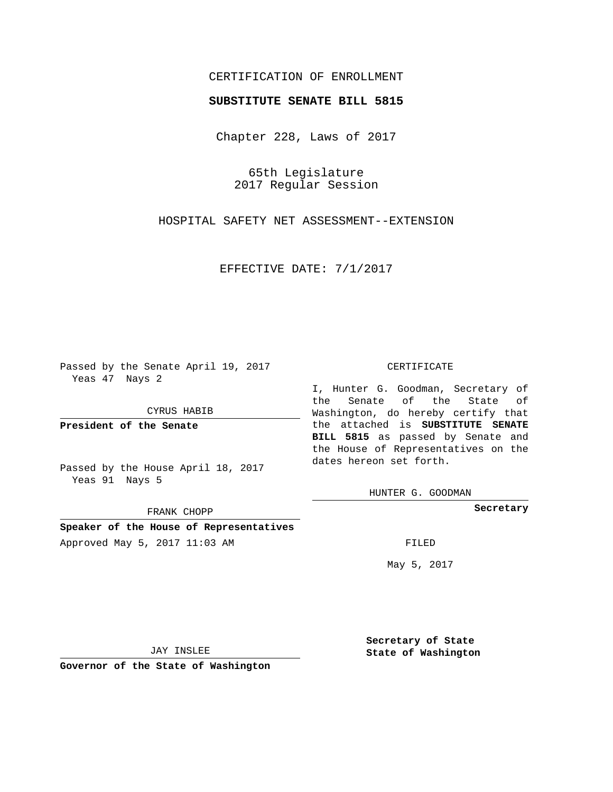## CERTIFICATION OF ENROLLMENT

### **SUBSTITUTE SENATE BILL 5815**

Chapter 228, Laws of 2017

65th Legislature 2017 Regular Session

HOSPITAL SAFETY NET ASSESSMENT--EXTENSION

EFFECTIVE DATE: 7/1/2017

Passed by the Senate April 19, 2017 Yeas 47 Nays 2

CYRUS HABIB

**President of the Senate**

Passed by the House April 18, 2017 Yeas 91 Nays 5

FRANK CHOPP

**Speaker of the House of Representatives** Approved May 5, 2017 11:03 AM FILED

#### CERTIFICATE

I, Hunter G. Goodman, Secretary of the Senate of the State of Washington, do hereby certify that the attached is **SUBSTITUTE SENATE BILL 5815** as passed by Senate and the House of Representatives on the dates hereon set forth.

HUNTER G. GOODMAN

**Secretary**

May 5, 2017

JAY INSLEE

**Governor of the State of Washington**

**Secretary of State State of Washington**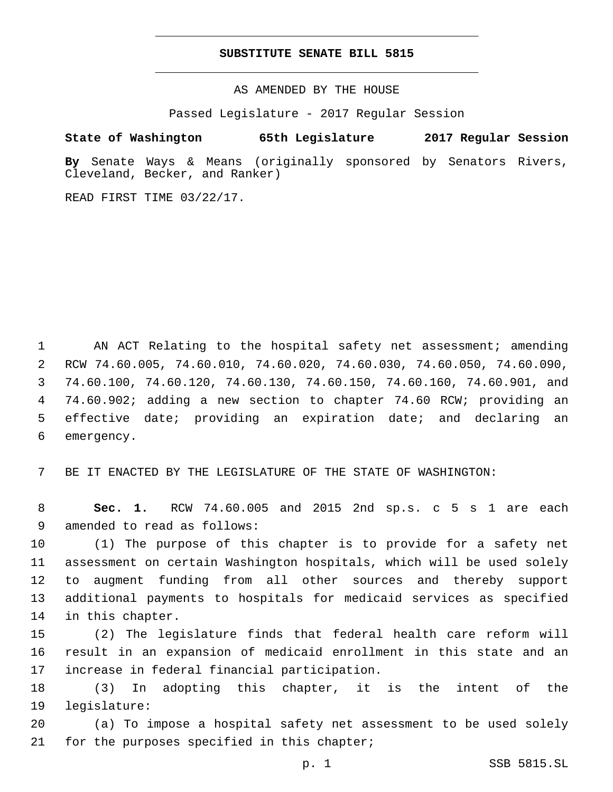#### **SUBSTITUTE SENATE BILL 5815**

AS AMENDED BY THE HOUSE

Passed Legislature - 2017 Regular Session

# **State of Washington 65th Legislature 2017 Regular Session**

**By** Senate Ways & Means (originally sponsored by Senators Rivers, Cleveland, Becker, and Ranker)

READ FIRST TIME 03/22/17.

1 AN ACT Relating to the hospital safety net assessment; amending RCW 74.60.005, 74.60.010, 74.60.020, 74.60.030, 74.60.050, 74.60.090, 74.60.100, 74.60.120, 74.60.130, 74.60.150, 74.60.160, 74.60.901, and 74.60.902; adding a new section to chapter 74.60 RCW; providing an effective date; providing an expiration date; and declaring an 6 emergency.

7 BE IT ENACTED BY THE LEGISLATURE OF THE STATE OF WASHINGTON:

8 **Sec. 1.** RCW 74.60.005 and 2015 2nd sp.s. c 5 s 1 are each 9 amended to read as follows:

 (1) The purpose of this chapter is to provide for a safety net assessment on certain Washington hospitals, which will be used solely to augment funding from all other sources and thereby support additional payments to hospitals for medicaid services as specified 14 in this chapter.

15 (2) The legislature finds that federal health care reform will 16 result in an expansion of medicaid enrollment in this state and an 17 increase in federal financial participation.

18 (3) In adopting this chapter, it is the intent of the 19 legislature:

20 (a) To impose a hospital safety net assessment to be used solely 21 for the purposes specified in this chapter;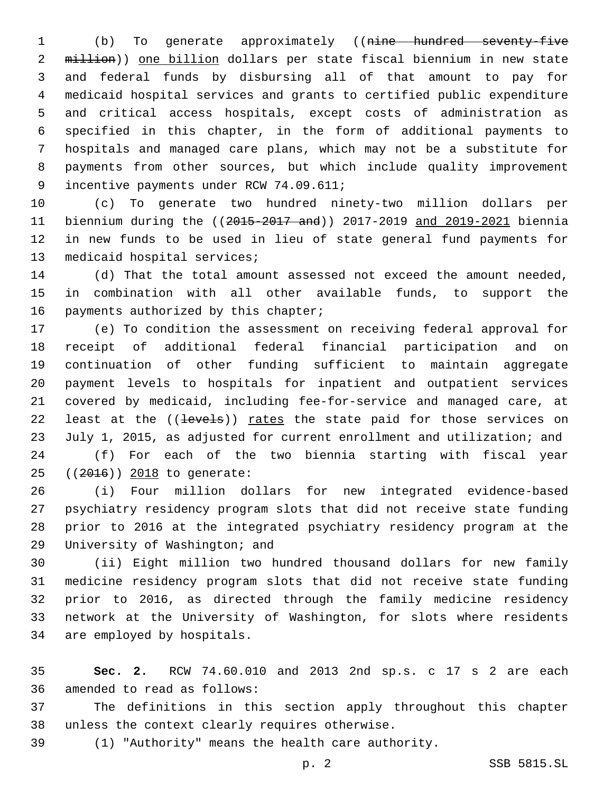(b) To generate approximately ((nine hundred seventy-five 2 million)) one billion dollars per state fiscal biennium in new state and federal funds by disbursing all of that amount to pay for medicaid hospital services and grants to certified public expenditure and critical access hospitals, except costs of administration as specified in this chapter, in the form of additional payments to hospitals and managed care plans, which may not be a substitute for payments from other sources, but which include quality improvement 9 incentive payments under RCW 74.09.611;

 (c) To generate two hundred ninety-two million dollars per biennium during the ((2015-2017 and)) 2017-2019 and 2019-2021 biennia in new funds to be used in lieu of state general fund payments for 13 medicaid hospital services;

 (d) That the total amount assessed not exceed the amount needed, in combination with all other available funds, to support the 16 payments authorized by this chapter;

 (e) To condition the assessment on receiving federal approval for receipt of additional federal financial participation and on continuation of other funding sufficient to maintain aggregate payment levels to hospitals for inpatient and outpatient services covered by medicaid, including fee-for-service and managed care, at 22 least at the ((levels)) rates the state paid for those services on July 1, 2015, as adjusted for current enrollment and utilization; and

 (f) For each of the two biennia starting with fiscal year 25 ((2016)) 2018 to generate:

 (i) Four million dollars for new integrated evidence-based psychiatry residency program slots that did not receive state funding prior to 2016 at the integrated psychiatry residency program at the 29 University of Washington; and

 (ii) Eight million two hundred thousand dollars for new family medicine residency program slots that did not receive state funding prior to 2016, as directed through the family medicine residency network at the University of Washington, for slots where residents 34 are employed by hospitals.

 **Sec. 2.** RCW 74.60.010 and 2013 2nd sp.s. c 17 s 2 are each 36 amended to read as follows:

 The definitions in this section apply throughout this chapter 38 unless the context clearly requires otherwise.

(1) "Authority" means the health care authority.

p. 2 SSB 5815.SL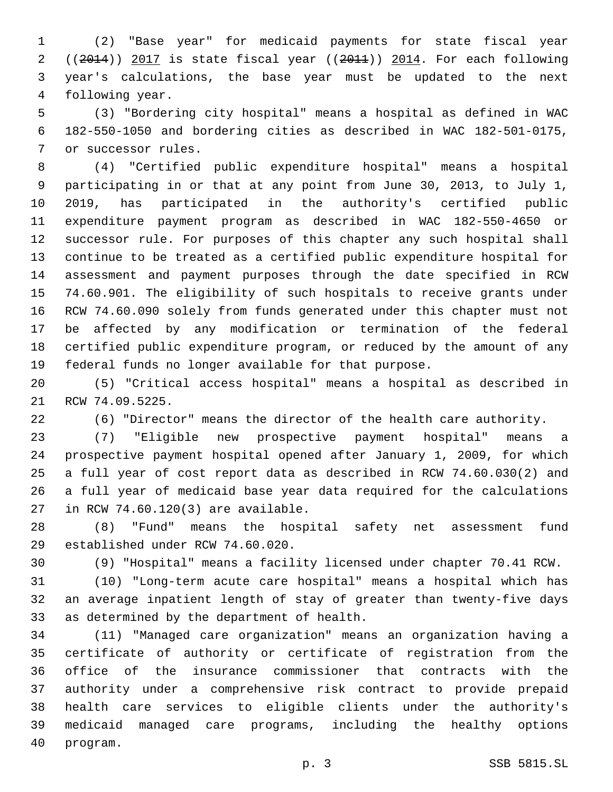(2) "Base year" for medicaid payments for state fiscal year ((2014)) 2017 is state fiscal year ((2011)) 2014. For each following year's calculations, the base year must be updated to the next 4 following year.

 (3) "Bordering city hospital" means a hospital as defined in WAC 182-550-1050 and bordering cities as described in WAC 182-501-0175, 7 or successor rules.

 (4) "Certified public expenditure hospital" means a hospital participating in or that at any point from June 30, 2013, to July 1, 2019, has participated in the authority's certified public expenditure payment program as described in WAC 182-550-4650 or successor rule. For purposes of this chapter any such hospital shall continue to be treated as a certified public expenditure hospital for assessment and payment purposes through the date specified in RCW 74.60.901. The eligibility of such hospitals to receive grants under RCW 74.60.090 solely from funds generated under this chapter must not be affected by any modification or termination of the federal certified public expenditure program, or reduced by the amount of any federal funds no longer available for that purpose.

 (5) "Critical access hospital" means a hospital as described in 21 RCW 74.09.5225.

(6) "Director" means the director of the health care authority.

 (7) "Eligible new prospective payment hospital" means a prospective payment hospital opened after January 1, 2009, for which a full year of cost report data as described in RCW 74.60.030(2) and a full year of medicaid base year data required for the calculations 27 in RCW 74.60.120(3) are available.

 (8) "Fund" means the hospital safety net assessment fund 29 established under RCW 74.60.020.

(9) "Hospital" means a facility licensed under chapter 70.41 RCW.

 (10) "Long-term acute care hospital" means a hospital which has an average inpatient length of stay of greater than twenty-five days 33 as determined by the department of health.

 (11) "Managed care organization" means an organization having a certificate of authority or certificate of registration from the office of the insurance commissioner that contracts with the authority under a comprehensive risk contract to provide prepaid health care services to eligible clients under the authority's medicaid managed care programs, including the healthy options 40 program.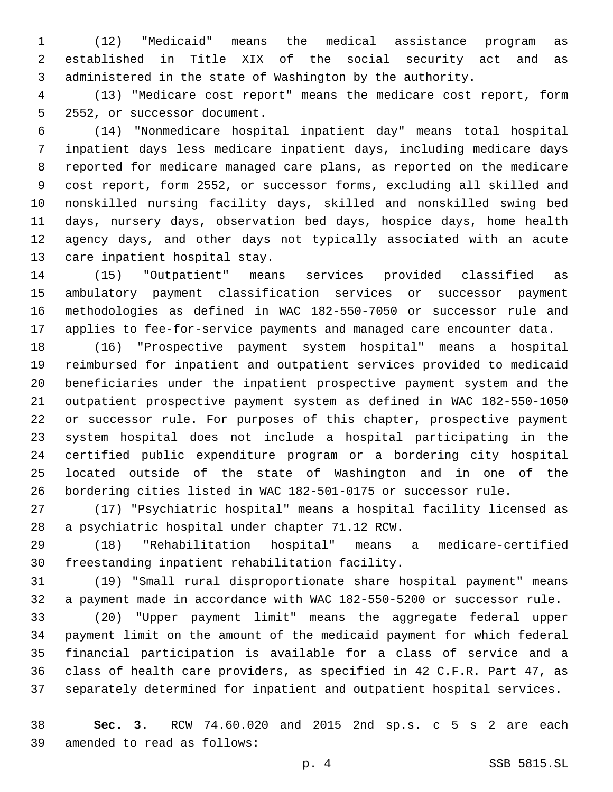(12) "Medicaid" means the medical assistance program as established in Title XIX of the social security act and as administered in the state of Washington by the authority.

 (13) "Medicare cost report" means the medicare cost report, form 5 2552, or successor document.

 (14) "Nonmedicare hospital inpatient day" means total hospital inpatient days less medicare inpatient days, including medicare days reported for medicare managed care plans, as reported on the medicare cost report, form 2552, or successor forms, excluding all skilled and nonskilled nursing facility days, skilled and nonskilled swing bed days, nursery days, observation bed days, hospice days, home health agency days, and other days not typically associated with an acute 13 care inpatient hospital stay.

 (15) "Outpatient" means services provided classified as ambulatory payment classification services or successor payment methodologies as defined in WAC 182-550-7050 or successor rule and applies to fee-for-service payments and managed care encounter data.

 (16) "Prospective payment system hospital" means a hospital reimbursed for inpatient and outpatient services provided to medicaid beneficiaries under the inpatient prospective payment system and the outpatient prospective payment system as defined in WAC 182-550-1050 or successor rule. For purposes of this chapter, prospective payment system hospital does not include a hospital participating in the certified public expenditure program or a bordering city hospital located outside of the state of Washington and in one of the bordering cities listed in WAC 182-501-0175 or successor rule.

 (17) "Psychiatric hospital" means a hospital facility licensed as 28 a psychiatric hospital under chapter 71.12 RCW.

 (18) "Rehabilitation hospital" means a medicare-certified 30 freestanding inpatient rehabilitation facility.

 (19) "Small rural disproportionate share hospital payment" means a payment made in accordance with WAC 182-550-5200 or successor rule.

 (20) "Upper payment limit" means the aggregate federal upper payment limit on the amount of the medicaid payment for which federal financial participation is available for a class of service and a class of health care providers, as specified in 42 C.F.R. Part 47, as separately determined for inpatient and outpatient hospital services.

 **Sec. 3.** RCW 74.60.020 and 2015 2nd sp.s. c 5 s 2 are each 39 amended to read as follows: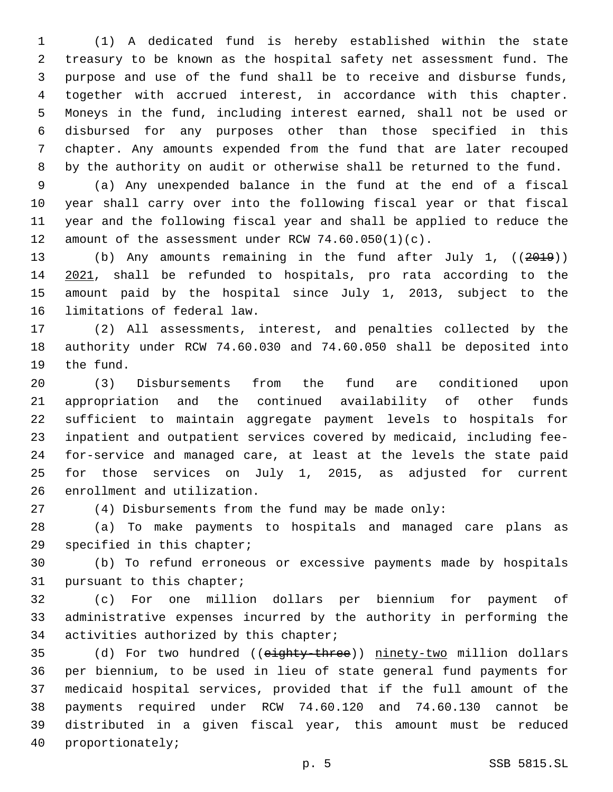(1) A dedicated fund is hereby established within the state treasury to be known as the hospital safety net assessment fund. The purpose and use of the fund shall be to receive and disburse funds, together with accrued interest, in accordance with this chapter. Moneys in the fund, including interest earned, shall not be used or disbursed for any purposes other than those specified in this chapter. Any amounts expended from the fund that are later recouped by the authority on audit or otherwise shall be returned to the fund.

 (a) Any unexpended balance in the fund at the end of a fiscal year shall carry over into the following fiscal year or that fiscal year and the following fiscal year and shall be applied to reduce the 12 amount of the assessment under RCW  $74.60.050(1)(c)$ .

 (b) Any amounts remaining in the fund after July 1, ((2019)) 2021, shall be refunded to hospitals, pro rata according to the amount paid by the hospital since July 1, 2013, subject to the 16 limitations of federal law.

 (2) All assessments, interest, and penalties collected by the authority under RCW 74.60.030 and 74.60.050 shall be deposited into 19 the fund.

 (3) Disbursements from the fund are conditioned upon appropriation and the continued availability of other funds sufficient to maintain aggregate payment levels to hospitals for inpatient and outpatient services covered by medicaid, including fee- for-service and managed care, at least at the levels the state paid for those services on July 1, 2015, as adjusted for current 26 enrollment and utilization.

(4) Disbursements from the fund may be made only:

 (a) To make payments to hospitals and managed care plans as 29 specified in this chapter;

 (b) To refund erroneous or excessive payments made by hospitals 31 pursuant to this chapter;

 (c) For one million dollars per biennium for payment of administrative expenses incurred by the authority in performing the 34 activities authorized by this chapter;

35 (d) For two hundred ((eighty-three)) ninety-two million dollars per biennium, to be used in lieu of state general fund payments for medicaid hospital services, provided that if the full amount of the payments required under RCW 74.60.120 and 74.60.130 cannot be distributed in a given fiscal year, this amount must be reduced 40 proportionately;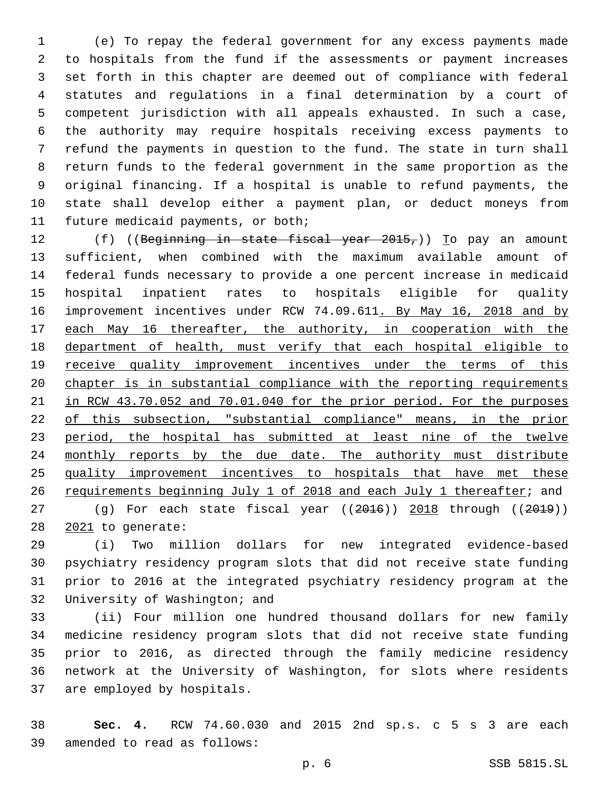(e) To repay the federal government for any excess payments made to hospitals from the fund if the assessments or payment increases set forth in this chapter are deemed out of compliance with federal statutes and regulations in a final determination by a court of competent jurisdiction with all appeals exhausted. In such a case, the authority may require hospitals receiving excess payments to refund the payments in question to the fund. The state in turn shall return funds to the federal government in the same proportion as the original financing. If a hospital is unable to refund payments, the state shall develop either a payment plan, or deduct moneys from 11 future medicaid payments, or both;

12 (f) ((Beginning in state fiscal year 2015,)) To pay an amount sufficient, when combined with the maximum available amount of federal funds necessary to provide a one percent increase in medicaid hospital inpatient rates to hospitals eligible for quality 16 improvement incentives under RCW 74.09.611. By May 16, 2018 and by each May 16 thereafter, the authority, in cooperation with the department of health, must verify that each hospital eligible to 19 receive quality improvement incentives under the terms of this chapter is in substantial compliance with the reporting requirements in RCW 43.70.052 and 70.01.040 for the prior period. For the purposes of this subsection, "substantial compliance" means, in the prior 23 period, the hospital has submitted at least nine of the twelve 24 monthly reports by the due date. The authority must distribute quality improvement incentives to hospitals that have met these requirements beginning July 1 of 2018 and each July 1 thereafter; and 27 (g) For each state fiscal year ((2016)) 2018 through ((2019))

28 2021 to generate:

 (i) Two million dollars for new integrated evidence-based psychiatry residency program slots that did not receive state funding prior to 2016 at the integrated psychiatry residency program at the 32 University of Washington; and

 (ii) Four million one hundred thousand dollars for new family medicine residency program slots that did not receive state funding prior to 2016, as directed through the family medicine residency network at the University of Washington, for slots where residents 37 are employed by hospitals.

 **Sec. 4.** RCW 74.60.030 and 2015 2nd sp.s. c 5 s 3 are each 39 amended to read as follows: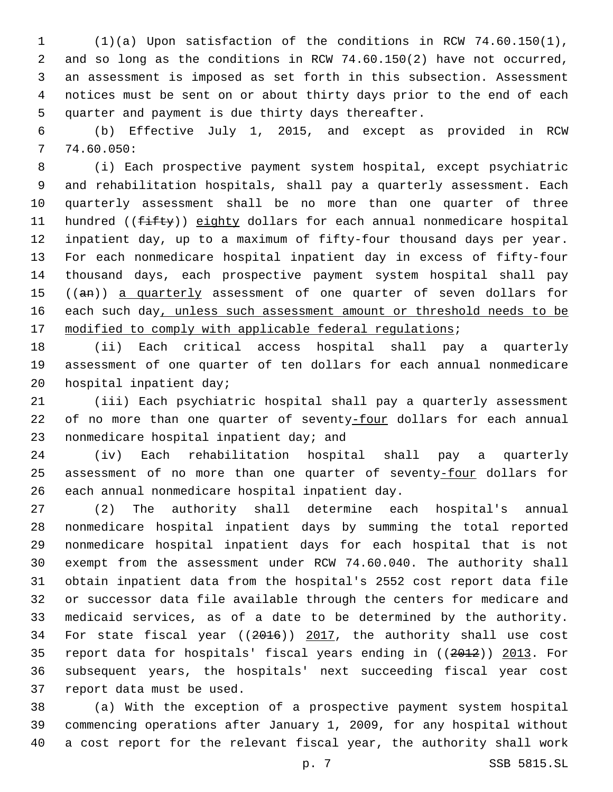(1)(a) Upon satisfaction of the conditions in RCW 74.60.150(1), and so long as the conditions in RCW 74.60.150(2) have not occurred, an assessment is imposed as set forth in this subsection. Assessment notices must be sent on or about thirty days prior to the end of each 5 quarter and payment is due thirty days thereafter.

 (b) Effective July 1, 2015, and except as provided in RCW 74.60.050:7

 (i) Each prospective payment system hospital, except psychiatric and rehabilitation hospitals, shall pay a quarterly assessment. Each quarterly assessment shall be no more than one quarter of three 11 hundred ((fifty)) eighty dollars for each annual nonmedicare hospital inpatient day, up to a maximum of fifty-four thousand days per year. For each nonmedicare hospital inpatient day in excess of fifty-four thousand days, each prospective payment system hospital shall pay 15 ((an)) a quarterly assessment of one quarter of seven dollars for 16 each such day, unless such assessment amount or threshold needs to be 17 modified to comply with applicable federal regulations;

 (ii) Each critical access hospital shall pay a quarterly assessment of one quarter of ten dollars for each annual nonmedicare 20 hospital inpatient day;

 (iii) Each psychiatric hospital shall pay a quarterly assessment of no more than one quarter of seventy-four dollars for each annual 23 nonmedicare hospital inpatient day; and

 (iv) Each rehabilitation hospital shall pay a quarterly 25 assessment of no more than one quarter of seventy-four dollars for 26 each annual nonmedicare hospital inpatient day.

 (2) The authority shall determine each hospital's annual nonmedicare hospital inpatient days by summing the total reported nonmedicare hospital inpatient days for each hospital that is not exempt from the assessment under RCW 74.60.040. The authority shall obtain inpatient data from the hospital's 2552 cost report data file or successor data file available through the centers for medicare and medicaid services, as of a date to be determined by the authority. 34 For state fiscal year ((2016)) 2017, the authority shall use cost report data for hospitals' fiscal years ending in ((2012)) 2013. For subsequent years, the hospitals' next succeeding fiscal year cost 37 report data must be used.

 (a) With the exception of a prospective payment system hospital commencing operations after January 1, 2009, for any hospital without a cost report for the relevant fiscal year, the authority shall work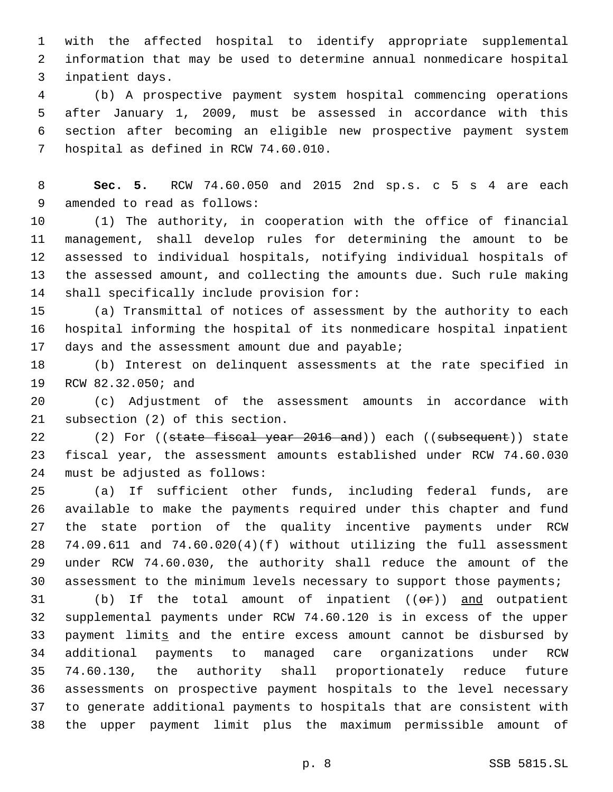with the affected hospital to identify appropriate supplemental information that may be used to determine annual nonmedicare hospital 3 inpatient days.

 (b) A prospective payment system hospital commencing operations after January 1, 2009, must be assessed in accordance with this section after becoming an eligible new prospective payment system 7 hospital as defined in RCW 74.60.010.

 **Sec. 5.** RCW 74.60.050 and 2015 2nd sp.s. c 5 s 4 are each 9 amended to read as follows:

 (1) The authority, in cooperation with the office of financial management, shall develop rules for determining the amount to be assessed to individual hospitals, notifying individual hospitals of the assessed amount, and collecting the amounts due. Such rule making 14 shall specifically include provision for:

 (a) Transmittal of notices of assessment by the authority to each hospital informing the hospital of its nonmedicare hospital inpatient 17 days and the assessment amount due and payable;

 (b) Interest on delinquent assessments at the rate specified in 19 RCW 82.32.050; and

 (c) Adjustment of the assessment amounts in accordance with 21 subsection (2) of this section.

22 (2) For ((state fiscal year 2016 and)) each ((subsequent)) state fiscal year, the assessment amounts established under RCW 74.60.030 24 must be adjusted as follows:

 (a) If sufficient other funds, including federal funds, are available to make the payments required under this chapter and fund the state portion of the quality incentive payments under RCW 74.09.611 and 74.60.020(4)(f) without utilizing the full assessment under RCW 74.60.030, the authority shall reduce the amount of the assessment to the minimum levels necessary to support those payments;

31 (b) If the total amount of inpatient  $((\theta \cdot \mathbf{r}))$  and outpatient supplemental payments under RCW 74.60.120 is in excess of the upper 33 payment limits and the entire excess amount cannot be disbursed by additional payments to managed care organizations under RCW 74.60.130, the authority shall proportionately reduce future assessments on prospective payment hospitals to the level necessary to generate additional payments to hospitals that are consistent with the upper payment limit plus the maximum permissible amount of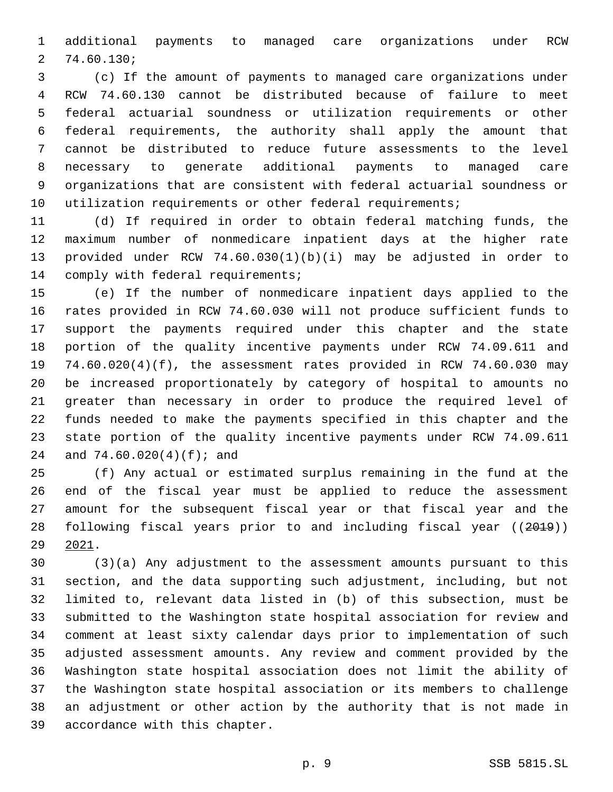additional payments to managed care organizations under RCW 74.60.130;2

 (c) If the amount of payments to managed care organizations under RCW 74.60.130 cannot be distributed because of failure to meet federal actuarial soundness or utilization requirements or other federal requirements, the authority shall apply the amount that cannot be distributed to reduce future assessments to the level necessary to generate additional payments to managed care organizations that are consistent with federal actuarial soundness or 10 utilization requirements or other federal requirements;

 (d) If required in order to obtain federal matching funds, the maximum number of nonmedicare inpatient days at the higher rate provided under RCW 74.60.030(1)(b)(i) may be adjusted in order to 14 comply with federal requirements;

 (e) If the number of nonmedicare inpatient days applied to the rates provided in RCW 74.60.030 will not produce sufficient funds to support the payments required under this chapter and the state portion of the quality incentive payments under RCW 74.09.611 and 74.60.020(4)(f), the assessment rates provided in RCW 74.60.030 may be increased proportionately by category of hospital to amounts no greater than necessary in order to produce the required level of funds needed to make the payments specified in this chapter and the state portion of the quality incentive payments under RCW 74.09.611 24 and 74.60.020(4)(f); and

 (f) Any actual or estimated surplus remaining in the fund at the end of the fiscal year must be applied to reduce the assessment amount for the subsequent fiscal year or that fiscal year and the following fiscal years prior to and including fiscal year ((2019)) 2021.

 (3)(a) Any adjustment to the assessment amounts pursuant to this section, and the data supporting such adjustment, including, but not limited to, relevant data listed in (b) of this subsection, must be submitted to the Washington state hospital association for review and comment at least sixty calendar days prior to implementation of such adjusted assessment amounts. Any review and comment provided by the Washington state hospital association does not limit the ability of the Washington state hospital association or its members to challenge an adjustment or other action by the authority that is not made in 39 accordance with this chapter.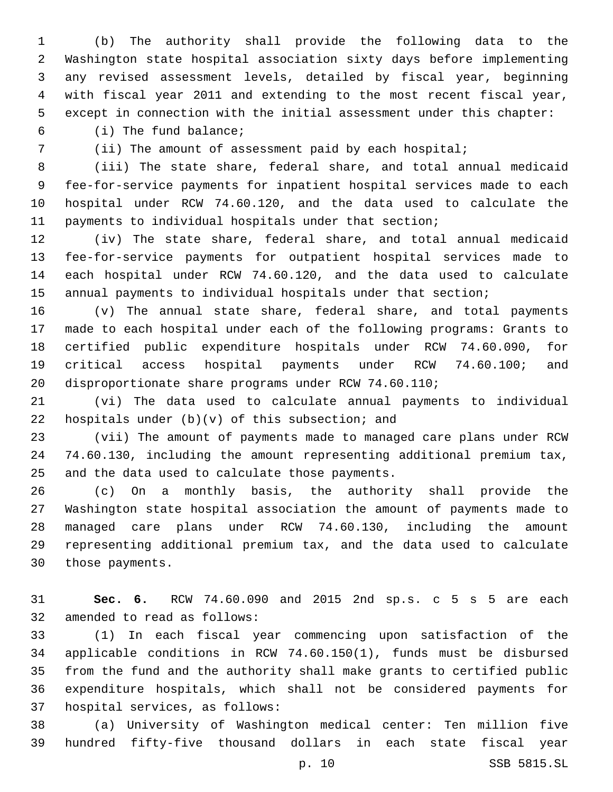(b) The authority shall provide the following data to the Washington state hospital association sixty days before implementing any revised assessment levels, detailed by fiscal year, beginning with fiscal year 2011 and extending to the most recent fiscal year, except in connection with the initial assessment under this chapter:

(i) The fund balance;6

(ii) The amount of assessment paid by each hospital;

 (iii) The state share, federal share, and total annual medicaid fee-for-service payments for inpatient hospital services made to each hospital under RCW 74.60.120, and the data used to calculate the payments to individual hospitals under that section;

 (iv) The state share, federal share, and total annual medicaid fee-for-service payments for outpatient hospital services made to each hospital under RCW 74.60.120, and the data used to calculate annual payments to individual hospitals under that section;

 (v) The annual state share, federal share, and total payments made to each hospital under each of the following programs: Grants to certified public expenditure hospitals under RCW 74.60.090, for critical access hospital payments under RCW 74.60.100; and disproportionate share programs under RCW 74.60.110;

 (vi) The data used to calculate annual payments to individual 22 hospitals under  $(b)(v)$  of this subsection; and

 (vii) The amount of payments made to managed care plans under RCW 74.60.130, including the amount representing additional premium tax, 25 and the data used to calculate those payments.

 (c) On a monthly basis, the authority shall provide the Washington state hospital association the amount of payments made to managed care plans under RCW 74.60.130, including the amount representing additional premium tax, and the data used to calculate 30 those payments.

 **Sec. 6.** RCW 74.60.090 and 2015 2nd sp.s. c 5 s 5 are each 32 amended to read as follows:

 (1) In each fiscal year commencing upon satisfaction of the applicable conditions in RCW 74.60.150(1), funds must be disbursed from the fund and the authority shall make grants to certified public expenditure hospitals, which shall not be considered payments for 37 hospital services, as follows:

 (a) University of Washington medical center: Ten million five hundred fifty-five thousand dollars in each state fiscal year

p. 10 SSB 5815.SL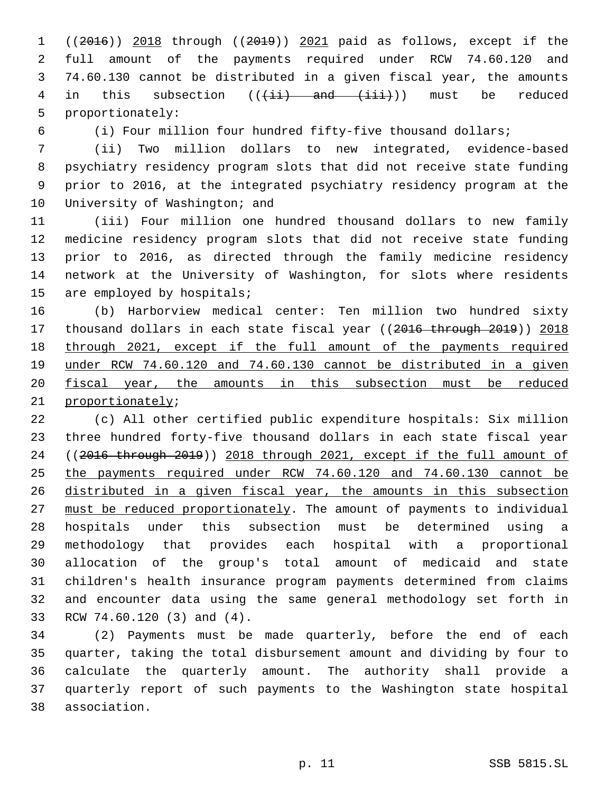((2016)) 2018 through ((2019)) 2021 paid as follows, except if the full amount of the payments required under RCW 74.60.120 and 74.60.130 cannot be distributed in a given fiscal year, the amounts 4 in this subsection  $((\pm i)^2)$  and  $(\pm i)^2$ ) must be reduced 5 proportionately:

(i) Four million four hundred fifty-five thousand dollars;

 (ii) Two million dollars to new integrated, evidence-based psychiatry residency program slots that did not receive state funding prior to 2016, at the integrated psychiatry residency program at the 10 University of Washington; and

 (iii) Four million one hundred thousand dollars to new family medicine residency program slots that did not receive state funding prior to 2016, as directed through the family medicine residency network at the University of Washington, for slots where residents 15 are employed by hospitals;

 (b) Harborview medical center: Ten million two hundred sixty 17 thousand dollars in each state fiscal year ((2016 through 2019)) 2018 through 2021, except if the full amount of the payments required under RCW 74.60.120 and 74.60.130 cannot be distributed in a given fiscal year, the amounts in this subsection must be reduced 21 proportionately;

 (c) All other certified public expenditure hospitals: Six million three hundred forty-five thousand dollars in each state fiscal year ((2016 through 2019)) 2018 through 2021, except if the full amount of the payments required under RCW 74.60.120 and 74.60.130 cannot be distributed in a given fiscal year, the amounts in this subsection must be reduced proportionately. The amount of payments to individual hospitals under this subsection must be determined using a methodology that provides each hospital with a proportional allocation of the group's total amount of medicaid and state children's health insurance program payments determined from claims and encounter data using the same general methodology set forth in 33 RCW 74.60.120 (3) and (4).

 (2) Payments must be made quarterly, before the end of each quarter, taking the total disbursement amount and dividing by four to calculate the quarterly amount. The authority shall provide a quarterly report of such payments to the Washington state hospital association.38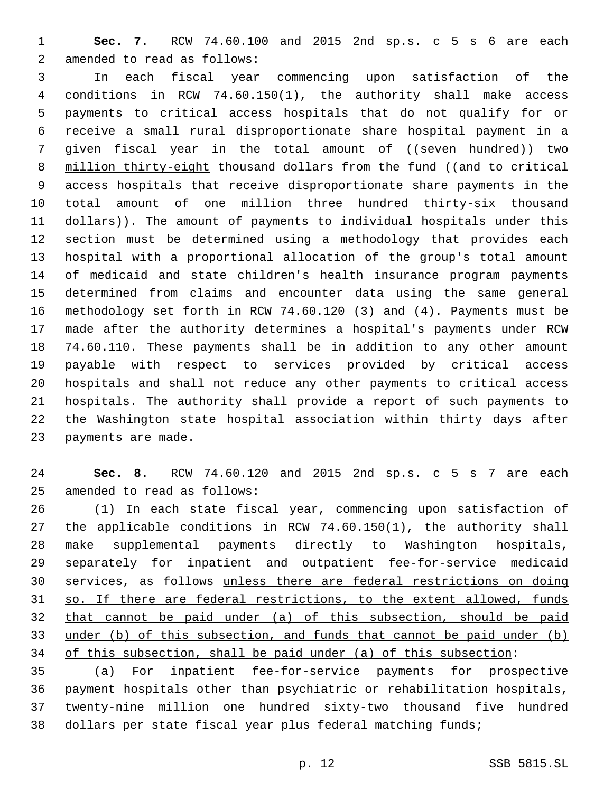**Sec. 7.** RCW 74.60.100 and 2015 2nd sp.s. c 5 s 6 are each 2 amended to read as follows:

 In each fiscal year commencing upon satisfaction of the conditions in RCW 74.60.150(1), the authority shall make access payments to critical access hospitals that do not qualify for or receive a small rural disproportionate share hospital payment in a 7 given fiscal year in the total amount of ((seven hundred)) two 8 million thirty-eight thousand dollars from the fund ((and to critical access hospitals that receive disproportionate share payments in the 10 total amount of one million three hundred thirty-six thousand 11 dollars)). The amount of payments to individual hospitals under this section must be determined using a methodology that provides each hospital with a proportional allocation of the group's total amount of medicaid and state children's health insurance program payments determined from claims and encounter data using the same general methodology set forth in RCW 74.60.120 (3) and (4). Payments must be made after the authority determines a hospital's payments under RCW 74.60.110. These payments shall be in addition to any other amount payable with respect to services provided by critical access hospitals and shall not reduce any other payments to critical access hospitals. The authority shall provide a report of such payments to the Washington state hospital association within thirty days after 23 payments are made.

 **Sec. 8.** RCW 74.60.120 and 2015 2nd sp.s. c 5 s 7 are each 25 amended to read as follows:

 (1) In each state fiscal year, commencing upon satisfaction of the applicable conditions in RCW 74.60.150(1), the authority shall make supplemental payments directly to Washington hospitals, separately for inpatient and outpatient fee-for-service medicaid services, as follows unless there are federal restrictions on doing so. If there are federal restrictions, to the extent allowed, funds that cannot be paid under (a) of this subsection, should be paid under (b) of this subsection, and funds that cannot be paid under (b) of this subsection, shall be paid under (a) of this subsection:

 (a) For inpatient fee-for-service payments for prospective payment hospitals other than psychiatric or rehabilitation hospitals, twenty-nine million one hundred sixty-two thousand five hundred dollars per state fiscal year plus federal matching funds;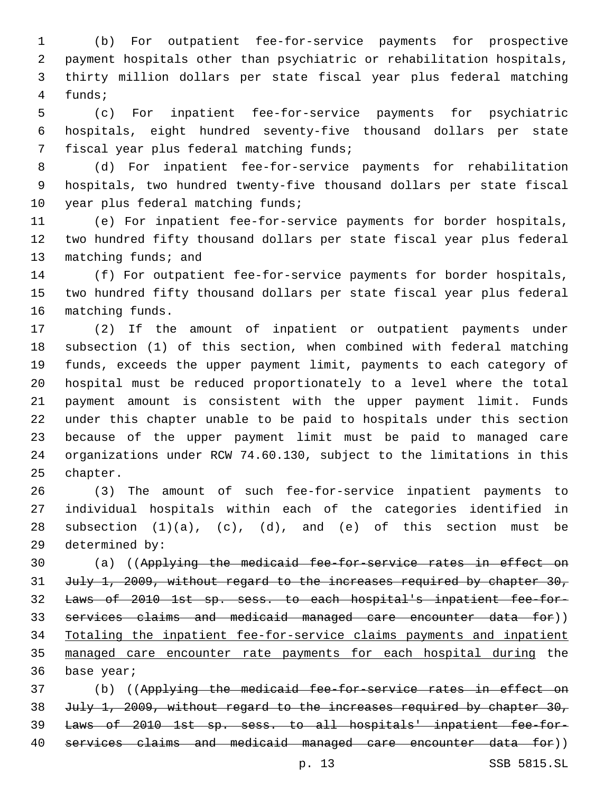(b) For outpatient fee-for-service payments for prospective payment hospitals other than psychiatric or rehabilitation hospitals, thirty million dollars per state fiscal year plus federal matching 4 funds;

 (c) For inpatient fee-for-service payments for psychiatric hospitals, eight hundred seventy-five thousand dollars per state 7 fiscal year plus federal matching funds;

 (d) For inpatient fee-for-service payments for rehabilitation hospitals, two hundred twenty-five thousand dollars per state fiscal 10 year plus federal matching funds;

 (e) For inpatient fee-for-service payments for border hospitals, two hundred fifty thousand dollars per state fiscal year plus federal 13 matching funds; and

 (f) For outpatient fee-for-service payments for border hospitals, two hundred fifty thousand dollars per state fiscal year plus federal 16 matching funds.

 (2) If the amount of inpatient or outpatient payments under subsection (1) of this section, when combined with federal matching funds, exceeds the upper payment limit, payments to each category of hospital must be reduced proportionately to a level where the total payment amount is consistent with the upper payment limit. Funds under this chapter unable to be paid to hospitals under this section because of the upper payment limit must be paid to managed care organizations under RCW 74.60.130, subject to the limitations in this 25 chapter.

 (3) The amount of such fee-for-service inpatient payments to individual hospitals within each of the categories identified in 28 subsection  $(1)(a)$ ,  $(c)$ ,  $(d)$ , and  $(e)$  of this section must be 29 determined by:

 (a) ((Applying the medicaid fee-for-service rates in effect on 31 July 1, 2009, without regard to the increases required by chapter 30, Laws of 2010 1st sp. sess. to each hospital's inpatient fee-for- services claims and medicaid managed care encounter data for)) Totaling the inpatient fee-for-service claims payments and inpatient managed care encounter rate payments for each hospital during the 36 base year;

 (b) ((Applying the medicaid fee-for-service rates in effect on 38 July 1, 2009, without regard to the increases required by chapter 30, Laws of 2010 1st sp. sess. to all hospitals' inpatient fee-for-services claims and medicaid managed care encounter data for))

p. 13 SSB 5815.SL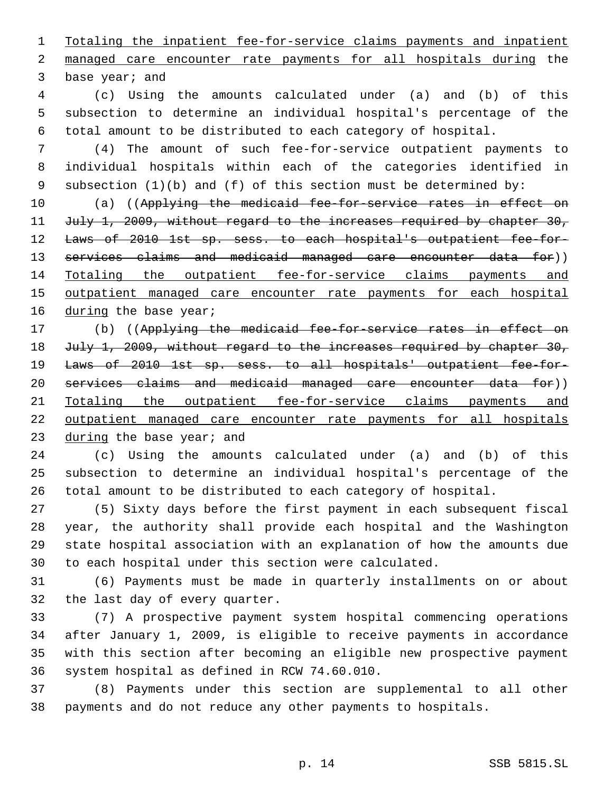Totaling the inpatient fee-for-service claims payments and inpatient managed care encounter rate payments for all hospitals during the 3 base year; and

 (c) Using the amounts calculated under (a) and (b) of this subsection to determine an individual hospital's percentage of the total amount to be distributed to each category of hospital.

 (4) The amount of such fee-for-service outpatient payments to individual hospitals within each of the categories identified in subsection (1)(b) and (f) of this section must be determined by:

10 (a) ((Applying the medicaid fee-for-service rates in effect on 11 July 1, 2009, without regard to the increases required by chapter 30, 12 Laws of 2010 1st sp. sess. to each hospital's outpatient fee-for-13 services claims and medicaid managed care encounter data for)) Totaling the outpatient fee-for-service claims payments and 15 outpatient managed care encounter rate payments for each hospital 16 during the base year;

 (b) ((Applying the medicaid fee-for-service rates in effect on 18 July 1, 2009, without regard to the increases required by chapter 30, Laws of 2010 1st sp. sess. to all hospitals' outpatient fee-for- services claims and medicaid managed care encounter data for)) Totaling the outpatient fee-for-service claims payments and 22 outpatient managed care encounter rate payments for all hospitals 23 during the base year; and

 (c) Using the amounts calculated under (a) and (b) of this subsection to determine an individual hospital's percentage of the total amount to be distributed to each category of hospital.

 (5) Sixty days before the first payment in each subsequent fiscal year, the authority shall provide each hospital and the Washington state hospital association with an explanation of how the amounts due to each hospital under this section were calculated.

 (6) Payments must be made in quarterly installments on or about 32 the last day of every quarter.

 (7) A prospective payment system hospital commencing operations after January 1, 2009, is eligible to receive payments in accordance with this section after becoming an eligible new prospective payment 36 system hospital as defined in RCW 74.60.010.

 (8) Payments under this section are supplemental to all other payments and do not reduce any other payments to hospitals.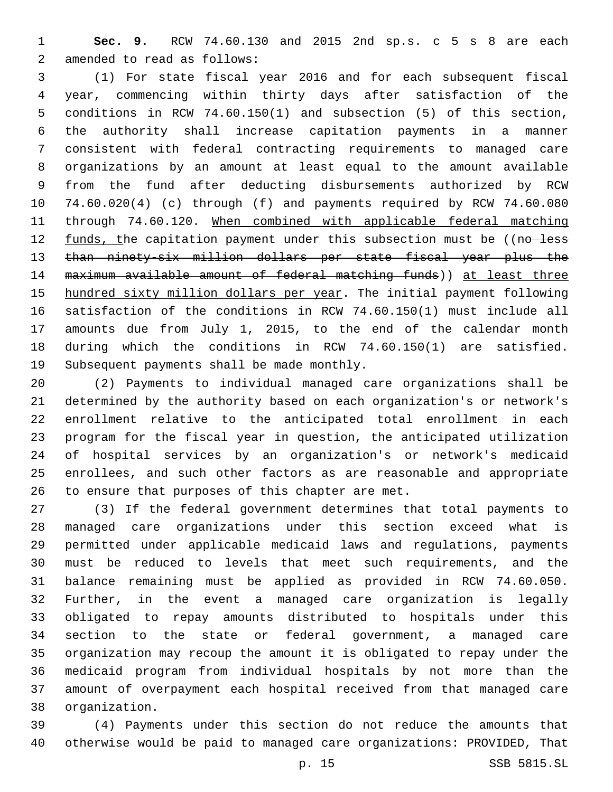**Sec. 9.** RCW 74.60.130 and 2015 2nd sp.s. c 5 s 8 are each 2 amended to read as follows:

 (1) For state fiscal year 2016 and for each subsequent fiscal year, commencing within thirty days after satisfaction of the conditions in RCW 74.60.150(1) and subsection (5) of this section, the authority shall increase capitation payments in a manner consistent with federal contracting requirements to managed care organizations by an amount at least equal to the amount available from the fund after deducting disbursements authorized by RCW 74.60.020(4) (c) through (f) and payments required by RCW 74.60.080 through 74.60.120. When combined with applicable federal matching 12 funds, the capitation payment under this subsection must be ((no less than ninety-six million dollars per state fiscal year plus the maximum available amount of federal matching funds)) at least three hundred sixty million dollars per year. The initial payment following satisfaction of the conditions in RCW 74.60.150(1) must include all amounts due from July 1, 2015, to the end of the calendar month during which the conditions in RCW 74.60.150(1) are satisfied. 19 Subsequent payments shall be made monthly.

 (2) Payments to individual managed care organizations shall be determined by the authority based on each organization's or network's enrollment relative to the anticipated total enrollment in each program for the fiscal year in question, the anticipated utilization of hospital services by an organization's or network's medicaid enrollees, and such other factors as are reasonable and appropriate 26 to ensure that purposes of this chapter are met.

 (3) If the federal government determines that total payments to managed care organizations under this section exceed what is permitted under applicable medicaid laws and regulations, payments must be reduced to levels that meet such requirements, and the balance remaining must be applied as provided in RCW 74.60.050. Further, in the event a managed care organization is legally obligated to repay amounts distributed to hospitals under this section to the state or federal government, a managed care organization may recoup the amount it is obligated to repay under the medicaid program from individual hospitals by not more than the amount of overpayment each hospital received from that managed care organization.38

 (4) Payments under this section do not reduce the amounts that otherwise would be paid to managed care organizations: PROVIDED, That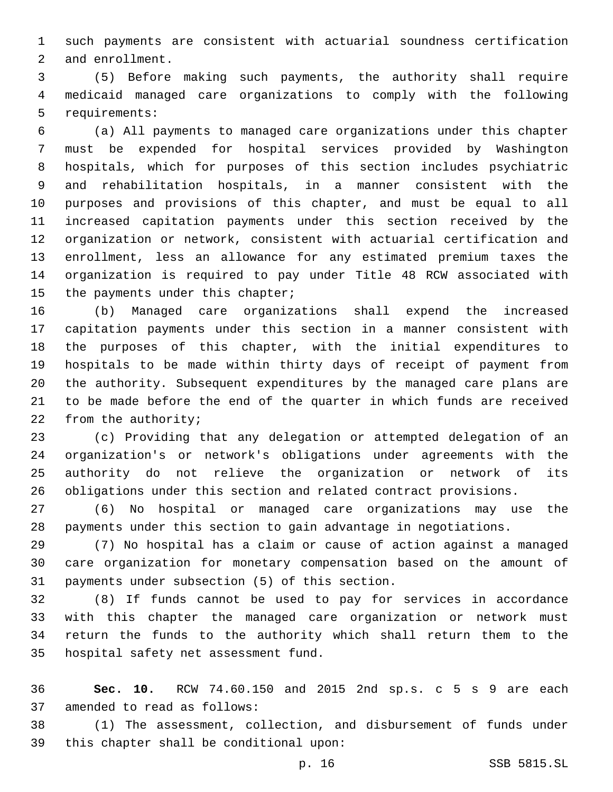such payments are consistent with actuarial soundness certification 2 and enrollment.

 (5) Before making such payments, the authority shall require medicaid managed care organizations to comply with the following 5 requirements:

 (a) All payments to managed care organizations under this chapter must be expended for hospital services provided by Washington hospitals, which for purposes of this section includes psychiatric and rehabilitation hospitals, in a manner consistent with the purposes and provisions of this chapter, and must be equal to all increased capitation payments under this section received by the organization or network, consistent with actuarial certification and enrollment, less an allowance for any estimated premium taxes the organization is required to pay under Title 48 RCW associated with 15 the payments under this chapter;

 (b) Managed care organizations shall expend the increased capitation payments under this section in a manner consistent with the purposes of this chapter, with the initial expenditures to hospitals to be made within thirty days of receipt of payment from the authority. Subsequent expenditures by the managed care plans are to be made before the end of the quarter in which funds are received 22 from the authority;

 (c) Providing that any delegation or attempted delegation of an organization's or network's obligations under agreements with the authority do not relieve the organization or network of its obligations under this section and related contract provisions.

 (6) No hospital or managed care organizations may use the payments under this section to gain advantage in negotiations.

 (7) No hospital has a claim or cause of action against a managed care organization for monetary compensation based on the amount of 31 payments under subsection (5) of this section.

 (8) If funds cannot be used to pay for services in accordance with this chapter the managed care organization or network must return the funds to the authority which shall return them to the 35 hospital safety net assessment fund.

 **Sec. 10.** RCW 74.60.150 and 2015 2nd sp.s. c 5 s 9 are each 37 amended to read as follows:

 (1) The assessment, collection, and disbursement of funds under 39 this chapter shall be conditional upon: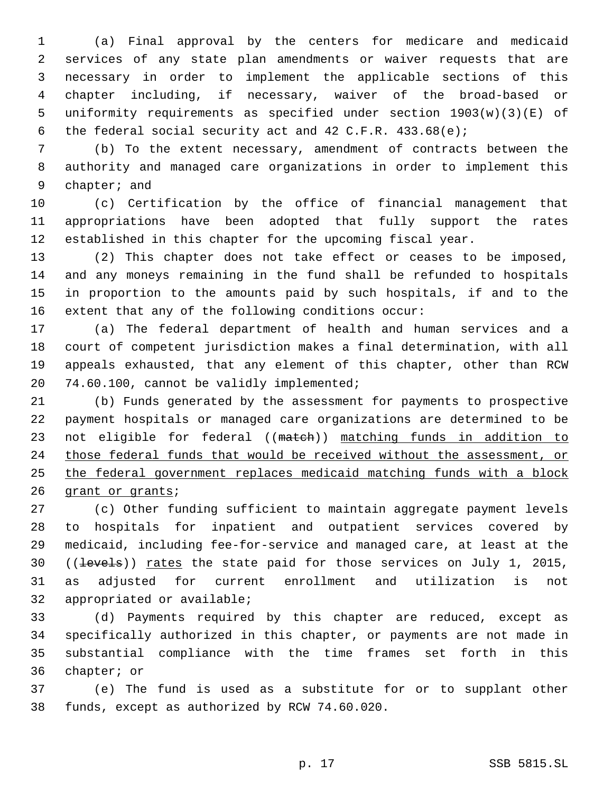(a) Final approval by the centers for medicare and medicaid services of any state plan amendments or waiver requests that are necessary in order to implement the applicable sections of this chapter including, if necessary, waiver of the broad-based or uniformity requirements as specified under section 1903(w)(3)(E) of the federal social security act and 42 C.F.R. 433.68(e);

 (b) To the extent necessary, amendment of contracts between the authority and managed care organizations in order to implement this 9 chapter; and

 (c) Certification by the office of financial management that appropriations have been adopted that fully support the rates established in this chapter for the upcoming fiscal year.

 (2) This chapter does not take effect or ceases to be imposed, and any moneys remaining in the fund shall be refunded to hospitals in proportion to the amounts paid by such hospitals, if and to the extent that any of the following conditions occur:

 (a) The federal department of health and human services and a court of competent jurisdiction makes a final determination, with all appeals exhausted, that any element of this chapter, other than RCW 20 74.60.100, cannot be validly implemented;

 (b) Funds generated by the assessment for payments to prospective payment hospitals or managed care organizations are determined to be 23 not eligible for federal ((match)) matching funds in addition to those federal funds that would be received without the assessment, or the federal government replaces medicaid matching funds with a block 26 grant or grants;

 (c) Other funding sufficient to maintain aggregate payment levels to hospitals for inpatient and outpatient services covered by medicaid, including fee-for-service and managed care, at least at the 30 ((levels)) rates the state paid for those services on July 1, 2015, as adjusted for current enrollment and utilization is not 32 appropriated or available;

 (d) Payments required by this chapter are reduced, except as specifically authorized in this chapter, or payments are not made in substantial compliance with the time frames set forth in this 36 chapter; or

 (e) The fund is used as a substitute for or to supplant other 38 funds, except as authorized by RCW 74.60.020.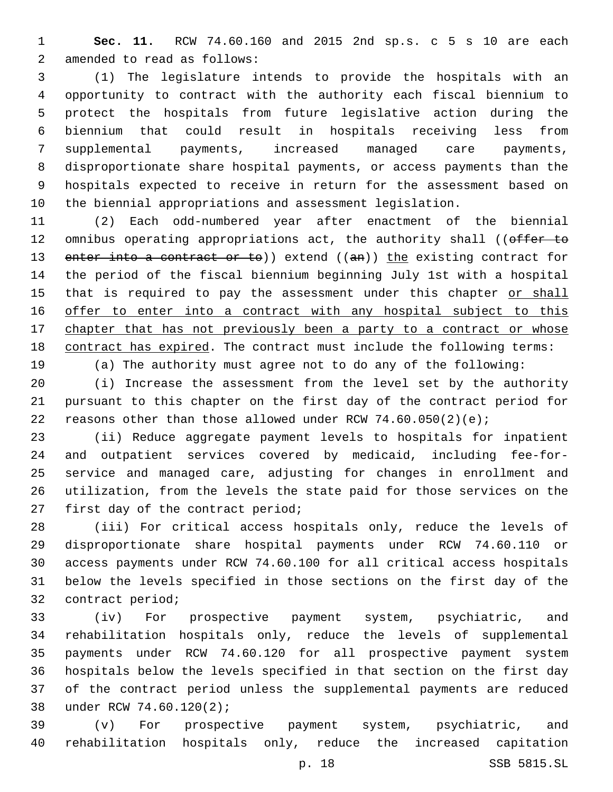**Sec. 11.** RCW 74.60.160 and 2015 2nd sp.s. c 5 s 10 are each 2 amended to read as follows:

 (1) The legislature intends to provide the hospitals with an opportunity to contract with the authority each fiscal biennium to protect the hospitals from future legislative action during the biennium that could result in hospitals receiving less from supplemental payments, increased managed care payments, disproportionate share hospital payments, or access payments than the hospitals expected to receive in return for the assessment based on the biennial appropriations and assessment legislation.

 (2) Each odd-numbered year after enactment of the biennial 12 omnibus operating appropriations act, the authority shall ((offer to 13 enter into a contract or to)) extend ((an)) the existing contract for the period of the fiscal biennium beginning July 1st with a hospital 15 that is required to pay the assessment under this chapter or shall offer to enter into a contract with any hospital subject to this 17 chapter that has not previously been a party to a contract or whose contract has expired. The contract must include the following terms: (a) The authority must agree not to do any of the following:

 (i) Increase the assessment from the level set by the authority pursuant to this chapter on the first day of the contract period for 22 reasons other than those allowed under RCW  $74.60.050(2)(e)$ ;

 (ii) Reduce aggregate payment levels to hospitals for inpatient and outpatient services covered by medicaid, including fee-for- service and managed care, adjusting for changes in enrollment and utilization, from the levels the state paid for those services on the 27 first day of the contract period;

 (iii) For critical access hospitals only, reduce the levels of disproportionate share hospital payments under RCW 74.60.110 or access payments under RCW 74.60.100 for all critical access hospitals below the levels specified in those sections on the first day of the 32 contract period;

 (iv) For prospective payment system, psychiatric, and rehabilitation hospitals only, reduce the levels of supplemental payments under RCW 74.60.120 for all prospective payment system hospitals below the levels specified in that section on the first day of the contract period unless the supplemental payments are reduced 38 under RCW 74.60.120(2);

 (v) For prospective payment system, psychiatric, and rehabilitation hospitals only, reduce the increased capitation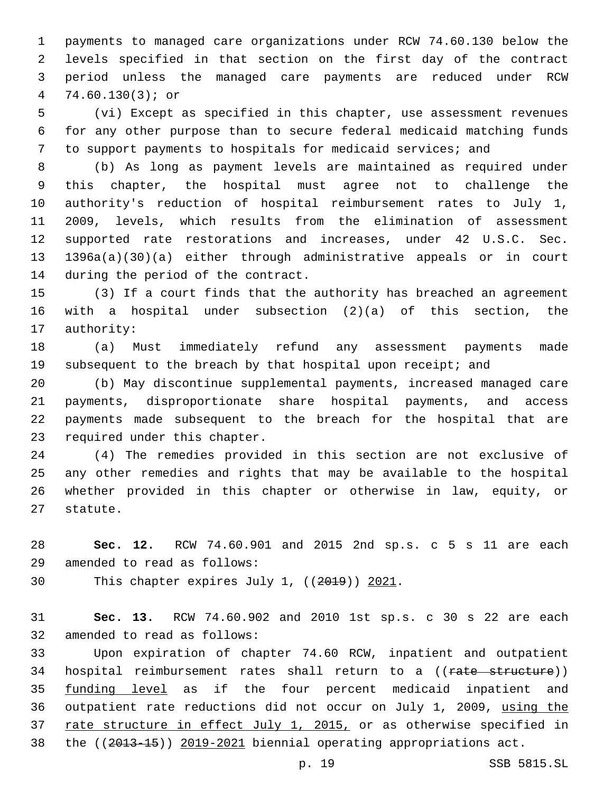payments to managed care organizations under RCW 74.60.130 below the levels specified in that section on the first day of the contract period unless the managed care payments are reduced under RCW 74.60.130(3); or

 (vi) Except as specified in this chapter, use assessment revenues for any other purpose than to secure federal medicaid matching funds to support payments to hospitals for medicaid services; and

 (b) As long as payment levels are maintained as required under this chapter, the hospital must agree not to challenge the authority's reduction of hospital reimbursement rates to July 1, 2009, levels, which results from the elimination of assessment supported rate restorations and increases, under 42 U.S.C. Sec. 1396a(a)(30)(a) either through administrative appeals or in court 14 during the period of the contract.

 (3) If a court finds that the authority has breached an agreement with a hospital under subsection (2)(a) of this section, the 17 authority:

 (a) Must immediately refund any assessment payments made 19 subsequent to the breach by that hospital upon receipt; and

 (b) May discontinue supplemental payments, increased managed care payments, disproportionate share hospital payments, and access payments made subsequent to the breach for the hospital that are 23 required under this chapter.

 (4) The remedies provided in this section are not exclusive of any other remedies and rights that may be available to the hospital whether provided in this chapter or otherwise in law, equity, or 27 statute.

 **Sec. 12.** RCW 74.60.901 and 2015 2nd sp.s. c 5 s 11 are each 29 amended to read as follows:

30 This chapter expires July 1, ((2019)) 2021.

 **Sec. 13.** RCW 74.60.902 and 2010 1st sp.s. c 30 s 22 are each 32 amended to read as follows:

 Upon expiration of chapter 74.60 RCW, inpatient and outpatient 34 hospital reimbursement rates shall return to a ((rate structure)) 35 funding level as if the four percent medicaid inpatient and outpatient rate reductions did not occur on July 1, 2009, using the 37 rate structure in effect July 1, 2015, or as otherwise specified in the ((2013-15)) 2019-2021 biennial operating appropriations act.